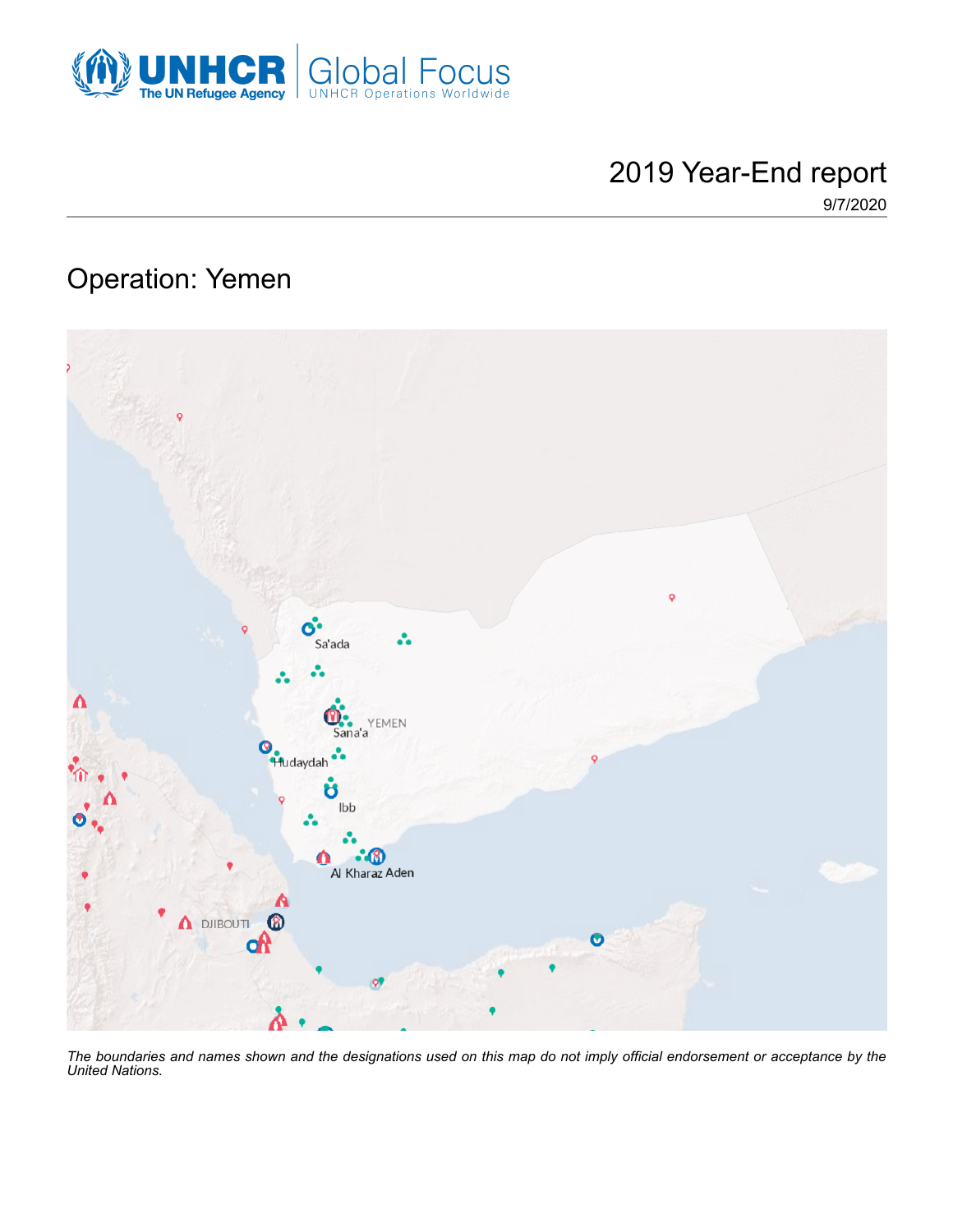

# 2019 Year-End report

9/7/2020

## Operation: Yemen



*The boundaries and names shown and the designations used on this map do not imply official endorsement or acceptance by the United Nations.*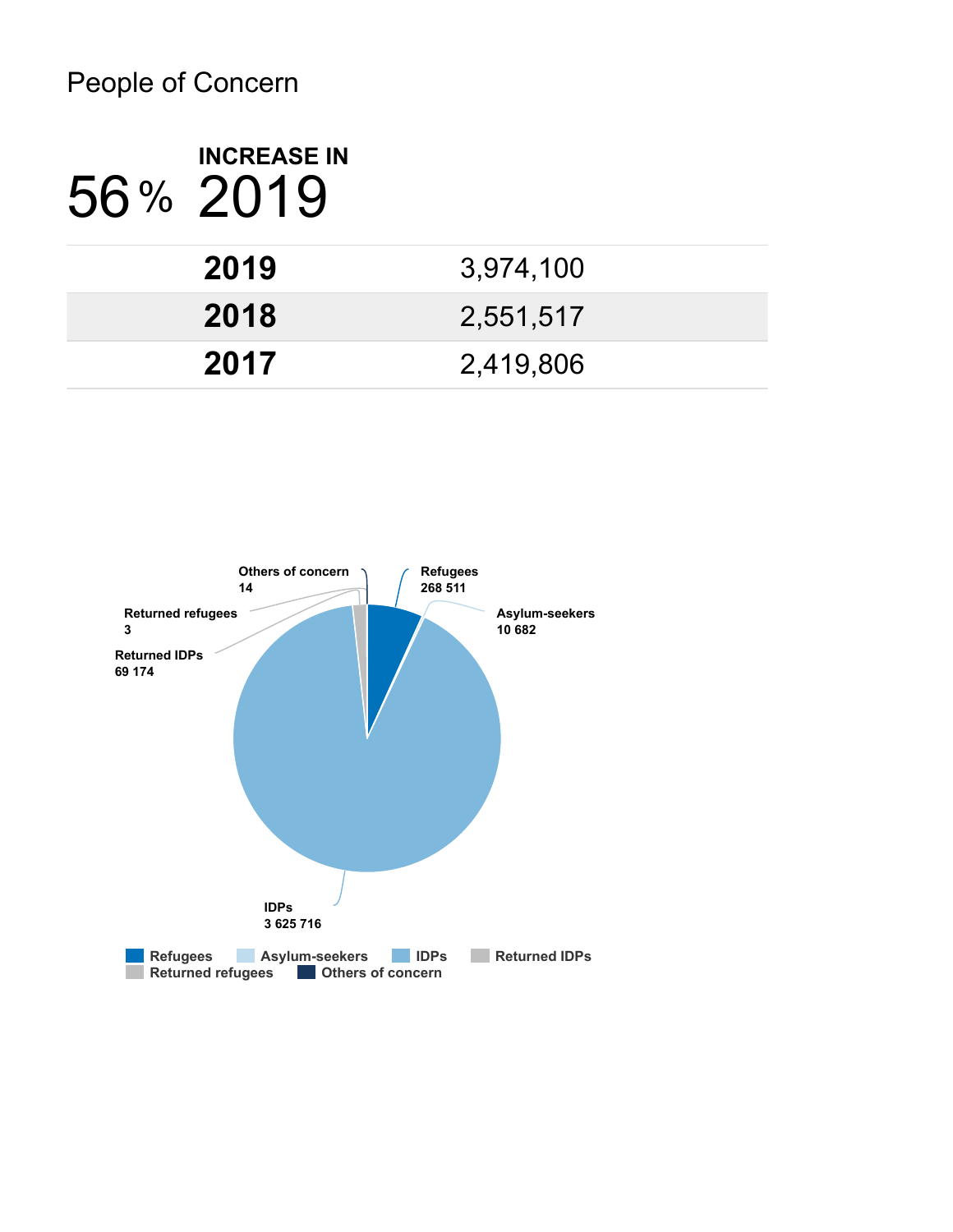# People of Concern

| <b>INCREASE IN</b><br>56% 2019 |           |
|--------------------------------|-----------|
| 2019                           | 3,974,100 |
| 2018                           | 2,551,517 |
| 2017                           | 2,419,806 |

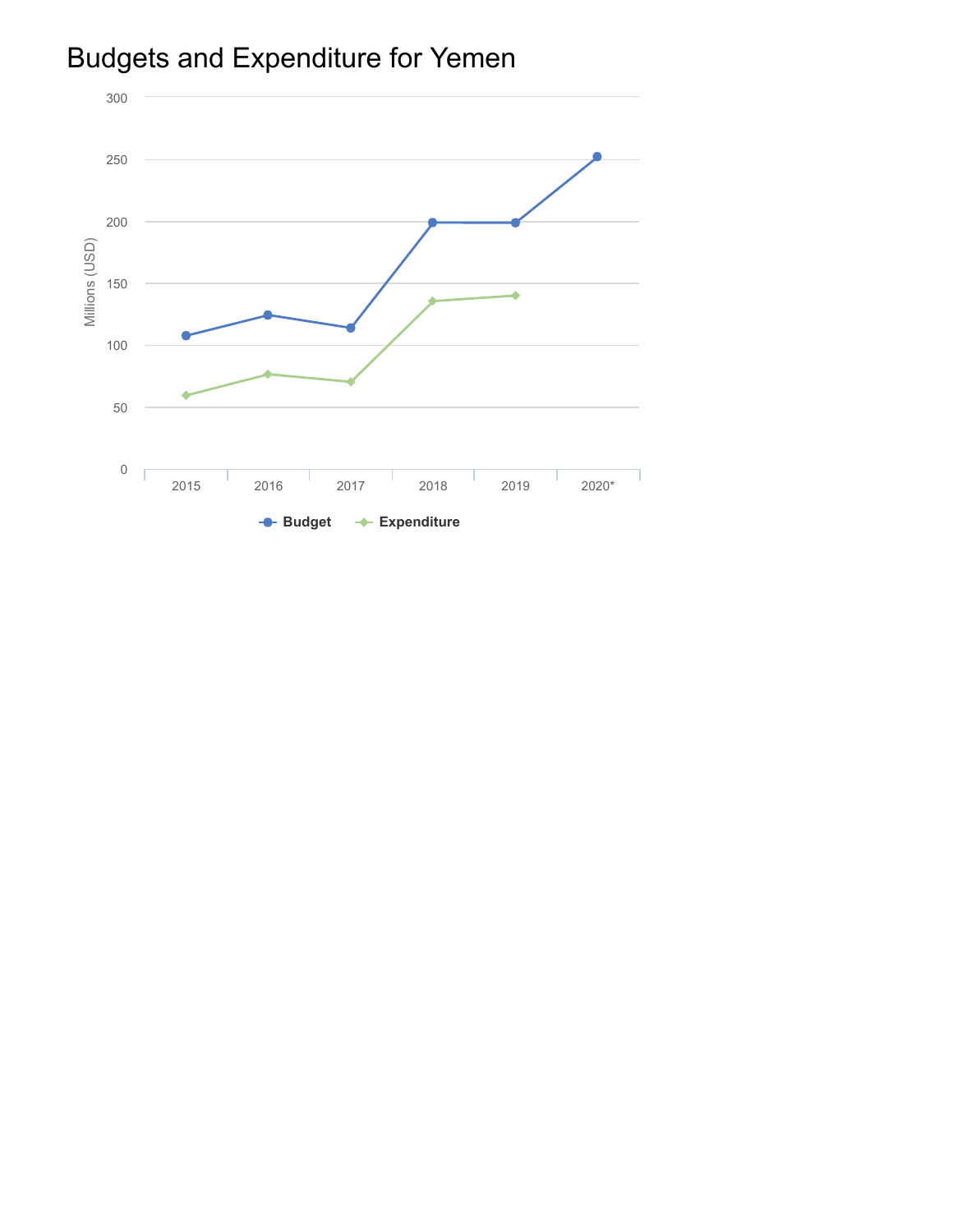

# Budgets and Expenditure for Yemen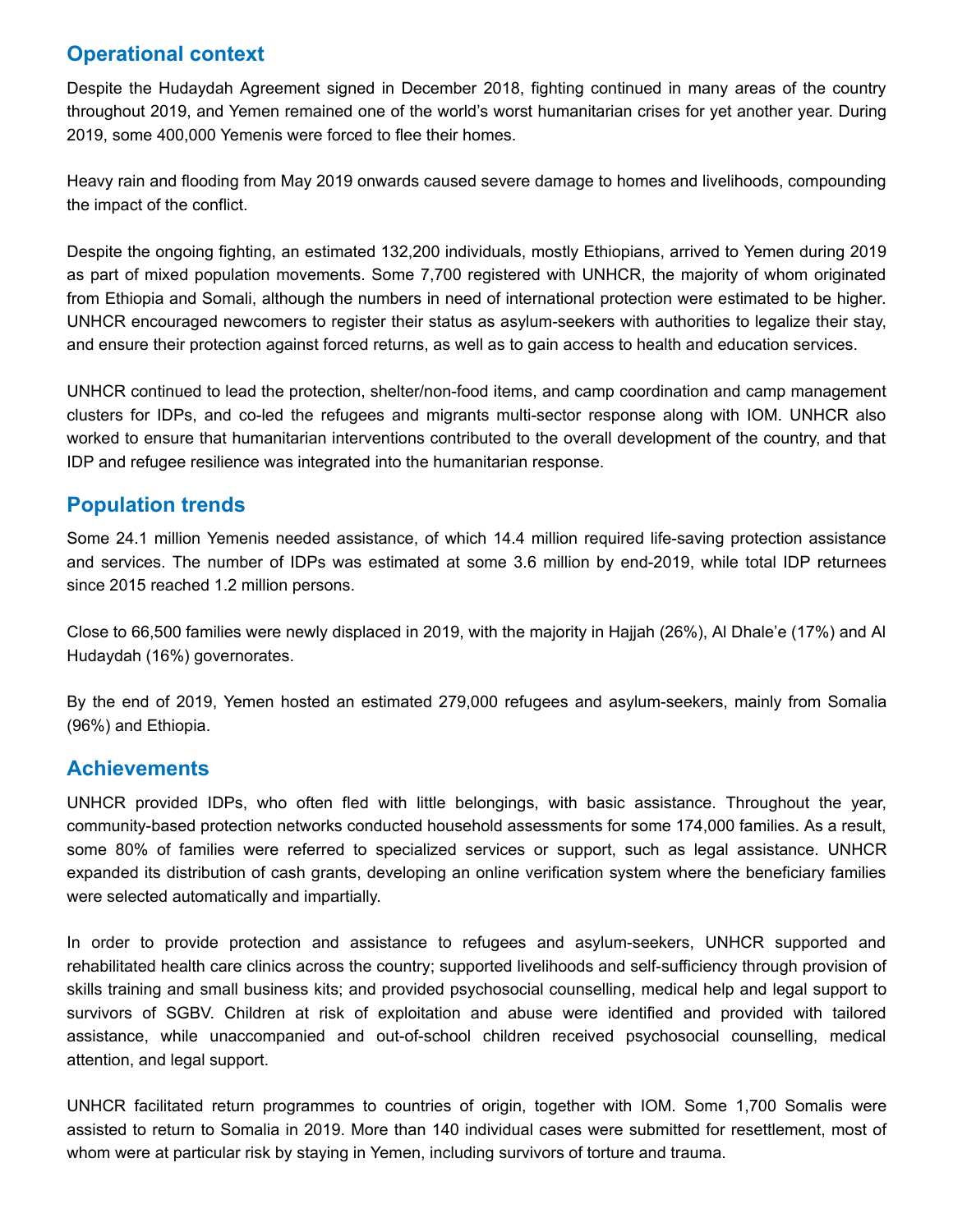## **Operational context**

Despite the Hudaydah Agreement signed in December 2018, fighting continued in many areas of the country throughout 2019, and Yemen remained one of the world's worst humanitarian crises for yet another year. During 2019, some 400,000 Yemenis were forced to flee their homes.

Heavy rain and flooding from May 2019 onwards caused severe damage to homes and livelihoods, compounding the impact of the conflict.

Despite the ongoing fighting, an estimated 132,200 individuals, mostly Ethiopians, arrived to Yemen during 2019 as part of mixed population movements. Some 7,700 registered with UNHCR, the majority of whom originated from Ethiopia and Somali, although the numbers in need of international protection were estimated to be higher. UNHCR encouraged newcomers to register their status as asylum-seekers with authorities to legalize their stay, and ensure their protection against forced returns, as well as to gain access to health and education services.

UNHCR continued to lead the protection, shelter/non-food items, and camp coordination and camp management clusters for IDPs, and co-led the refugees and migrants multi-sector response along with IOM. UNHCR also worked to ensure that humanitarian interventions contributed to the overall development of the country, and that IDP and refugee resilience was integrated into the humanitarian response.

#### **Population trends**

Some 24.1 million Yemenis needed assistance, of which 14.4 million required life-saving protection assistance and services. The number of IDPs was estimated at some 3.6 million by end-2019, while total IDP returnees since 2015 reached 1.2 million persons.

Close to 66,500 families were newly displaced in 2019, with the majority in Hajjah (26%), Al Dhale'e (17%) and Al Hudaydah (16%) governorates.

By the end of 2019, Yemen hosted an estimated 279,000 refugees and asylum-seekers, mainly from Somalia (96%) and Ethiopia.

#### **Achievements**

UNHCR provided IDPs, who often fled with little belongings, with basic assistance. Throughout the year, community-based protection networks conducted household assessments for some 174,000 families. As a result, some 80% of families were referred to specialized services or support, such as legal assistance. UNHCR expanded its distribution of cash grants, developing an online verification system where the beneficiary families were selected automatically and impartially.

In order to provide protection and assistance to refugees and asylum-seekers, UNHCR supported and rehabilitated health care clinics across the country; supported livelihoods and self-sufficiency through provision of skills training and small business kits; and provided psychosocial counselling, medical help and legal support to survivors of SGBV. Children at risk of exploitation and abuse were identified and provided with tailored assistance, while unaccompanied and out-of-school children received psychosocial counselling, medical attention, and legal support.

UNHCR facilitated return programmes to countries of origin, together with IOM. Some 1,700 Somalis were assisted to return to Somalia in 2019. More than 140 individual cases were submitted for resettlement, most of whom were at particular risk by staying in Yemen, including survivors of torture and trauma.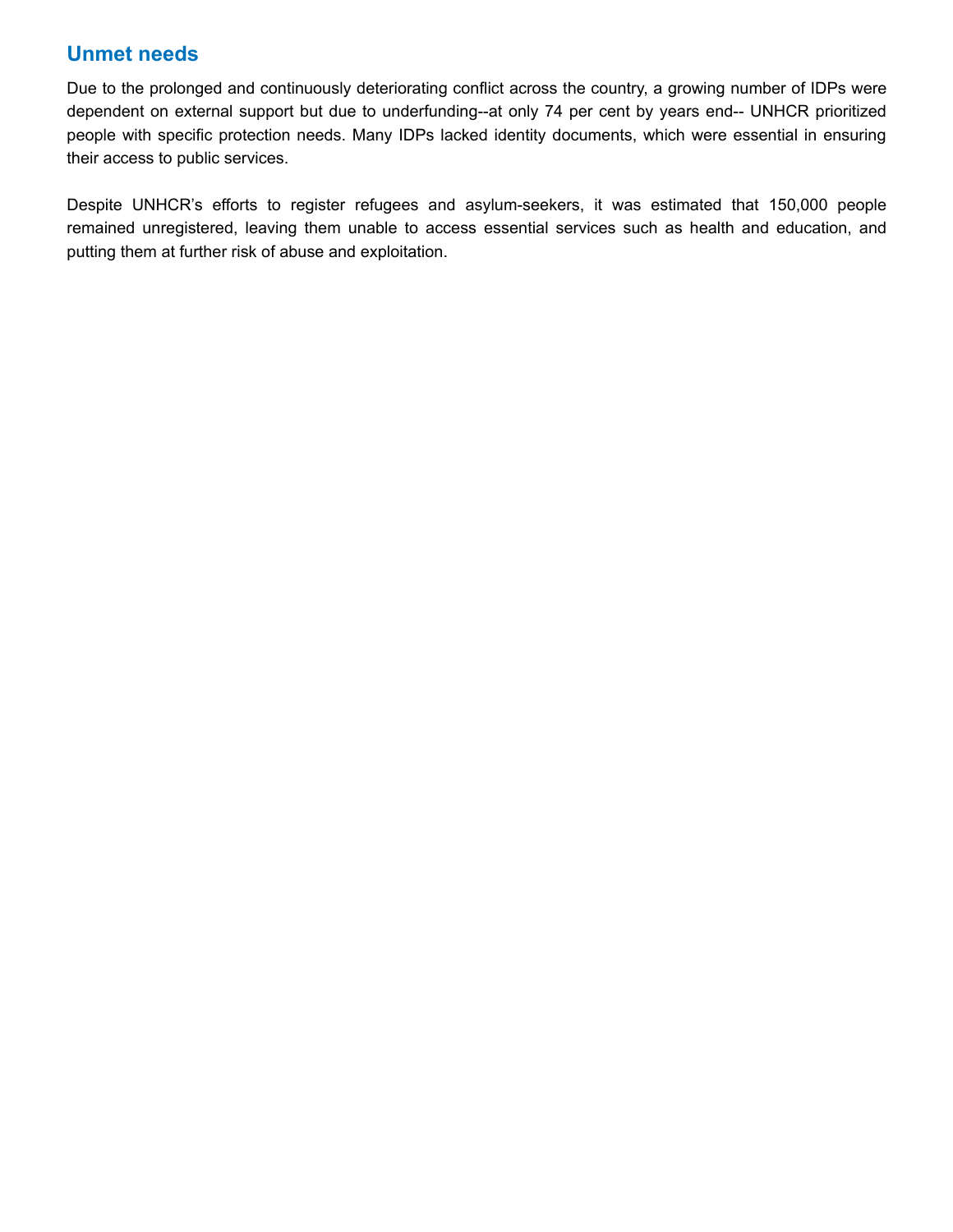## **Unmet needs**

Due to the prolonged and continuously deteriorating conflict across the country, a growing number of IDPs were dependent on external support but due to underfunding--at only 74 per cent by years end-- UNHCR prioritized people with specific protection needs. Many IDPs lacked identity documents, which were essential in ensuring their access to public services.

Despite UNHCR's efforts to register refugees and asylum-seekers, it was estimated that 150,000 people remained unregistered, leaving them unable to access essential services such as health and education, and putting them at further risk of abuse and exploitation.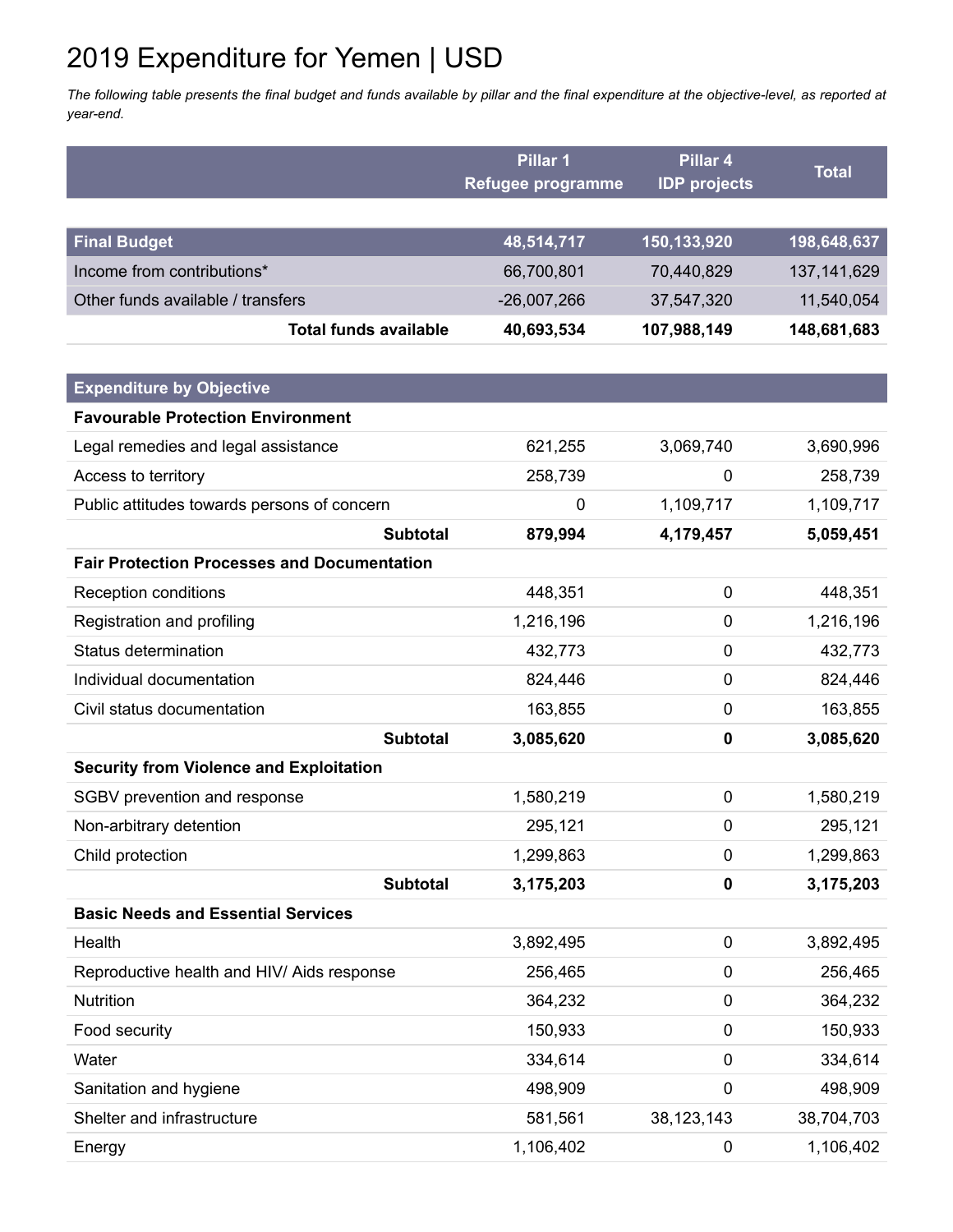# 2019 Expenditure for Yemen | USD

The following table presents the final budget and funds available by pillar and the final expenditure at the objective-level, as reported at *year-end.*

|                                                    | Pillar 1          | Pillar 4            | <b>Total</b>  |
|----------------------------------------------------|-------------------|---------------------|---------------|
|                                                    | Refugee programme | <b>IDP</b> projects |               |
|                                                    |                   |                     |               |
| <b>Final Budget</b>                                | 48,514,717        | 150,133,920         | 198,648,637   |
| Income from contributions*                         | 66,700,801        | 70,440,829          | 137, 141, 629 |
| Other funds available / transfers                  | $-26,007,266$     | 37,547,320          | 11,540,054    |
| <b>Total funds available</b>                       | 40,693,534        | 107,988,149         | 148,681,683   |
|                                                    |                   |                     |               |
| <b>Expenditure by Objective</b>                    |                   |                     |               |
| <b>Favourable Protection Environment</b>           |                   |                     |               |
| Legal remedies and legal assistance                | 621,255           | 3,069,740           | 3,690,996     |
| Access to territory                                | 258,739           | 0                   | 258,739       |
| Public attitudes towards persons of concern        | $\mathbf 0$       | 1,109,717           | 1,109,717     |
| <b>Subtotal</b>                                    | 879,994           | 4,179,457           | 5,059,451     |
| <b>Fair Protection Processes and Documentation</b> |                   |                     |               |
| <b>Reception conditions</b>                        | 448,351           | 0                   | 448,351       |
| Registration and profiling                         | 1,216,196         | 0                   | 1,216,196     |
| Status determination                               | 432,773           | 0                   | 432,773       |
| Individual documentation                           | 824,446           | 0                   | 824,446       |
| Civil status documentation                         | 163,855           | 0                   | 163,855       |
| <b>Subtotal</b>                                    | 3,085,620         | 0                   | 3,085,620     |
| <b>Security from Violence and Exploitation</b>     |                   |                     |               |
| SGBV prevention and response                       | 1,580,219         | 0                   | 1,580,219     |
| Non-arbitrary detention                            | 295,121           | 0                   | 295,121       |
| Child protection                                   | 1,299,863         | 0                   | 1,299,863     |
| <b>Subtotal</b>                                    | 3,175,203         | 0                   | 3,175,203     |
| <b>Basic Needs and Essential Services</b>          |                   |                     |               |
| Health                                             | 3,892,495         | 0                   | 3,892,495     |
| Reproductive health and HIV/ Aids response         | 256,465           | 0                   | 256,465       |
| Nutrition                                          | 364,232           | 0                   | 364,232       |
| Food security                                      | 150,933           | 0                   | 150,933       |
| Water                                              | 334,614           | 0                   | 334,614       |
| Sanitation and hygiene                             | 498,909           | 0                   | 498,909       |
| Shelter and infrastructure                         | 581,561           | 38, 123, 143        | 38,704,703    |
| Energy                                             | 1,106,402         | 0                   | 1,106,402     |
|                                                    |                   |                     |               |